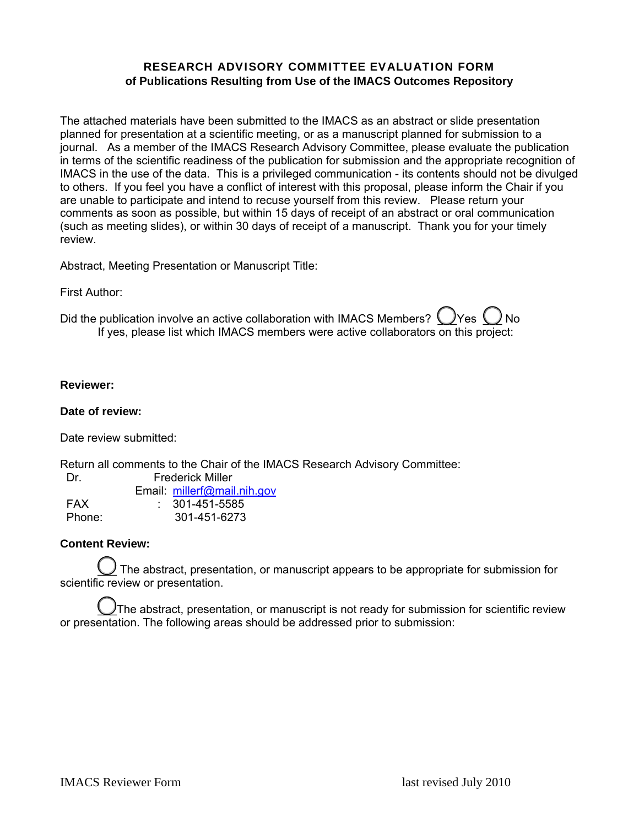## RESEARCH ADVISORY COMMITTEE EVALUATION FORM **of Publications Resulting from Use of the IMACS Outcomes Repository**

The attached materials have been submitted to the IMACS as an abstract or slide presentation planned for presentation at a scientific meeting, or as a manuscript planned for submission to a journal. As a member of the IMACS Research Advisory Committee, please evaluate the publication in terms of the scientific readiness of the publication for submission and the appropriate recognition of IMACS in the use of the data. This is a privileged communication - its contents should not be divulged to others. If you feel you have a conflict of interest with this proposal, please inform the Chair if you are unable to participate and intend to recuse yourself from this review. Please return your comments as soon as possible, but within 15 days of receipt of an abstract or oral communication (such as meeting slides), or within 30 days of receipt of a manuscript. Thank you for your timely review.

Abstract, Meeting Presentation or Manuscript Title:

First Author:

Did the publication involve an active collaboration with IMACS Members?  $\bigcup$ Yes  $\bigcup$ No If yes, please list which IMACS members were active collaborators on this project:

#### **Reviewer:**

#### **Date of review:**

Date review submitted:

Return all comments to the Chair of the IMACS Research Advisory Committee:

Dr. Frederick Miller

|        | Email: millerf@mail.nih.gov |
|--------|-----------------------------|
| FAX    | $: 301 - 451 - 5585$        |
| Phone: | 301-451-6273                |

## **Content Review:**

 $\ge$  The abstract, presentation, or manuscript appears to be appropriate for submission for scientific review or presentation.

 $\bigcup$ The abstract, presentation, or manuscript is not ready for submission for scientific review or presentation. The following areas should be addressed prior to submission: